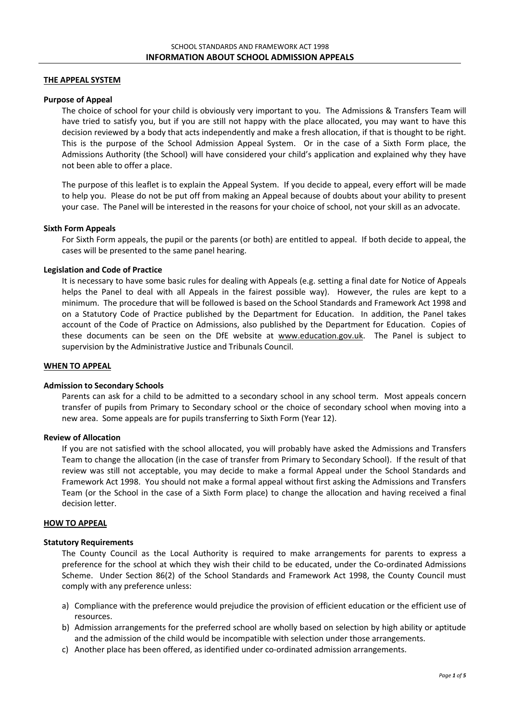# **THE APPEAL SYSTEM**

### **Purpose of Appeal**

The choice of school for your child is obviously very important to you. The Admissions & Transfers Team will have tried to satisfy you, but if you are still not happy with the place allocated, you may want to have this decision reviewed by a body that acts independently and make a fresh allocation, if that is thought to be right. This is the purpose of the School Admission Appeal System. Or in the case of a Sixth Form place, the Admissions Authority (the School) will have considered your child's application and explained why they have not been able to offer a place.

The purpose of this leaflet is to explain the Appeal System. If you decide to appeal, every effort will be made to help you. Please do not be put off from making an Appeal because of doubts about your ability to present your case. The Panel will be interested in the reasons for your choice of school, not your skill as an advocate.

## **Sixth Form Appeals**

For Sixth Form appeals, the pupil or the parents (or both) are entitled to appeal. If both decide to appeal, the cases will be presented to the same panel hearing.

## **Legislation and Code of Practice**

It is necessary to have some basic rules for dealing with Appeals (e.g. setting a final date for Notice of Appeals helps the Panel to deal with all Appeals in the fairest possible way). However, the rules are kept to a minimum. The procedure that will be followed is based on the School Standards and Framework Act 1998 and on a Statutory Code of Practice published by the Department for Education. In addition, the Panel takes account of the Code of Practice on Admissions, also published by the Department for Education. Copies of these documents can be seen on the DfE website at [www.education.gov.uk.](http://www.education.gov.uk/) The Panel is subject to supervision by the Administrative Justice and Tribunals Council.

### **WHEN TO APPEAL**

### **Admission to Secondary Schools**

Parents can ask for a child to be admitted to a secondary school in any school term. Most appeals concern transfer of pupils from Primary to Secondary school or the choice of secondary school when moving into a new area. Some appeals are for pupils transferring to Sixth Form (Year 12).

### **Review of Allocation**

If you are not satisfied with the school allocated, you will probably have asked the Admissions and Transfers Team to change the allocation (in the case of transfer from Primary to Secondary School). If the result of that review was still not acceptable, you may decide to make a formal Appeal under the School Standards and Framework Act 1998. You should not make a formal appeal without first asking the Admissions and Transfers Team (or the School in the case of a Sixth Form place) to change the allocation and having received a final decision letter.

## **HOW TO APPEAL**

### **Statutory Requirements**

The County Council as the Local Authority is required to make arrangements for parents to express a preference for the school at which they wish their child to be educated, under the Co-ordinated Admissions Scheme. Under Section 86(2) of the School Standards and Framework Act 1998, the County Council must comply with any preference unless:

- a) Compliance with the preference would prejudice the provision of efficient education or the efficient use of resources.
- b) Admission arrangements for the preferred school are wholly based on selection by high ability or aptitude and the admission of the child would be incompatible with selection under those arrangements.
- c) Another place has been offered, as identified under co-ordinated admission arrangements.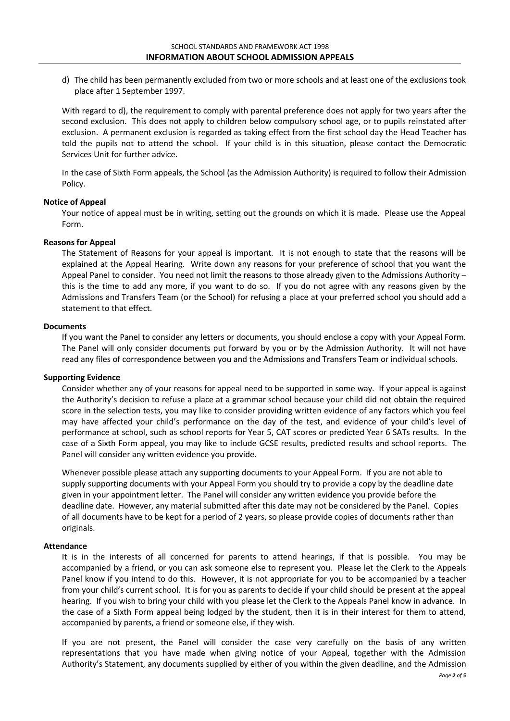d) The child has been permanently excluded from two or more schools and at least one of the exclusions took place after 1 September 1997.

With regard to d), the requirement to comply with parental preference does not apply for two years after the second exclusion. This does not apply to children below compulsory school age, or to pupils reinstated after exclusion. A permanent exclusion is regarded as taking effect from the first school day the Head Teacher has told the pupils not to attend the school. If your child is in this situation, please contact the Democratic Services Unit for further advice.

In the case of Sixth Form appeals, the School (as the Admission Authority) is required to follow their Admission Policy.

# **Notice of Appeal**

Your notice of appeal must be in writing, setting out the grounds on which it is made. Please use the Appeal Form.

# **Reasons for Appeal**

The Statement of Reasons for your appeal is important. It is not enough to state that the reasons will be explained at the Appeal Hearing. Write down any reasons for your preference of school that you want the Appeal Panel to consider. You need not limit the reasons to those already given to the Admissions Authority – this is the time to add any more, if you want to do so. If you do not agree with any reasons given by the Admissions and Transfers Team (or the School) for refusing a place at your preferred school you should add a statement to that effect.

### **Documents**

If you want the Panel to consider any letters or documents, you should enclose a copy with your Appeal Form. The Panel will only consider documents put forward by you or by the Admission Authority. It will not have read any files of correspondence between you and the Admissions and Transfers Team or individual schools.

# **Supporting Evidence**

Consider whether any of your reasons for appeal need to be supported in some way. If your appeal is against the Authority's decision to refuse a place at a grammar school because your child did not obtain the required score in the selection tests, you may like to consider providing written evidence of any factors which you feel may have affected your child's performance on the day of the test, and evidence of your child's level of performance at school, such as school reports for Year 5, CAT scores or predicted Year 6 SATs results. In the case of a Sixth Form appeal, you may like to include GCSE results, predicted results and school reports. The Panel will consider any written evidence you provide.

Whenever possible please attach any supporting documents to your Appeal Form. If you are not able to supply supporting documents with your Appeal Form you should try to provide a copy by the deadline date given in your appointment letter. The Panel will consider any written evidence you provide before the deadline date. However, any material submitted after this date may not be considered by the Panel. Copies of all documents have to be kept for a period of 2 years, so please provide copies of documents rather than originals.

### **Attendance**

It is in the interests of all concerned for parents to attend hearings, if that is possible. You may be accompanied by a friend, or you can ask someone else to represent you. Please let the Clerk to the Appeals Panel know if you intend to do this. However, it is not appropriate for you to be accompanied by a teacher from your child's current school. It is for you as parents to decide if your child should be present at the appeal hearing. If you wish to bring your child with you please let the Clerk to the Appeals Panel know in advance. In the case of a Sixth Form appeal being lodged by the student, then it is in their interest for them to attend, accompanied by parents, a friend or someone else, if they wish.

If you are not present, the Panel will consider the case very carefully on the basis of any written representations that you have made when giving notice of your Appeal, together with the Admission Authority's Statement, any documents supplied by either of you within the given deadline, and the Admission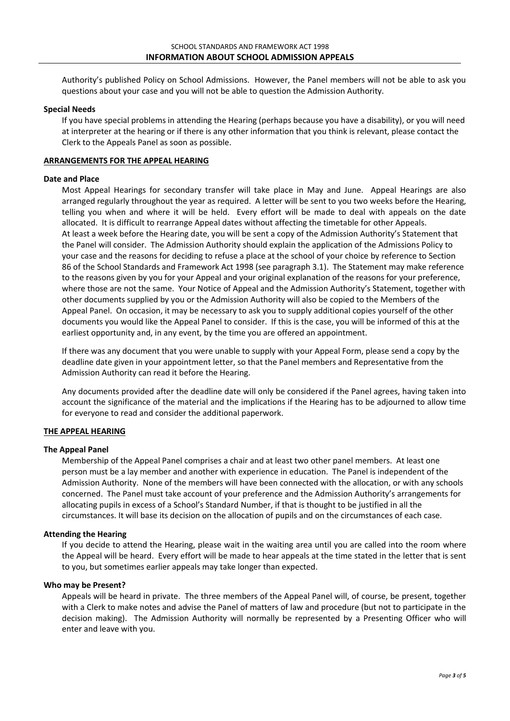Authority's published Policy on School Admissions. However, the Panel members will not be able to ask you questions about your case and you will not be able to question the Admission Authority.

## **Special Needs**

If you have special problems in attending the Hearing (perhaps because you have a disability), or you will need at interpreter at the hearing or if there is any other information that you think is relevant, please contact the Clerk to the Appeals Panel as soon as possible.

## **ARRANGEMENTS FOR THE APPEAL HEARING**

### **Date and Place**

Most Appeal Hearings for secondary transfer will take place in May and June. Appeal Hearings are also arranged regularly throughout the year as required. A letter will be sent to you two weeks before the Hearing, telling you when and where it will be held. Every effort will be made to deal with appeals on the date allocated. It is difficult to rearrange Appeal dates without affecting the timetable for other Appeals. At least a week before the Hearing date, you will be sent a copy of the Admission Authority's Statement that the Panel will consider. The Admission Authority should explain the application of the Admissions Policy to your case and the reasons for deciding to refuse a place at the school of your choice by reference to Section 86 of the School Standards and Framework Act 1998 (see paragraph 3.1). The Statement may make reference to the reasons given by you for your Appeal and your original explanation of the reasons for your preference, where those are not the same. Your Notice of Appeal and the Admission Authority's Statement, together with other documents supplied by you or the Admission Authority will also be copied to the Members of the Appeal Panel. On occasion, it may be necessary to ask you to supply additional copies yourself of the other documents you would like the Appeal Panel to consider. If this is the case, you will be informed of this at the earliest opportunity and, in any event, by the time you are offered an appointment.

If there was any document that you were unable to supply with your Appeal Form, please send a copy by the deadline date given in your appointment letter, so that the Panel members and Representative from the Admission Authority can read it before the Hearing.

Any documents provided after the deadline date will only be considered if the Panel agrees, having taken into account the significance of the material and the implications if the Hearing has to be adjourned to allow time for everyone to read and consider the additional paperwork.

# **THE APPEAL HEARING**

### **The Appeal Panel**

Membership of the Appeal Panel comprises a chair and at least two other panel members. At least one person must be a lay member and another with experience in education. The Panel is independent of the Admission Authority. None of the members will have been connected with the allocation, or with any schools concerned. The Panel must take account of your preference and the Admission Authority's arrangements for allocating pupils in excess of a School's Standard Number, if that is thought to be justified in all the circumstances. It will base its decision on the allocation of pupils and on the circumstances of each case.

### **Attending the Hearing**

If you decide to attend the Hearing, please wait in the waiting area until you are called into the room where the Appeal will be heard. Every effort will be made to hear appeals at the time stated in the letter that is sent to you, but sometimes earlier appeals may take longer than expected.

## **Who may be Present?**

Appeals will be heard in private. The three members of the Appeal Panel will, of course, be present, together with a Clerk to make notes and advise the Panel of matters of law and procedure (but not to participate in the decision making). The Admission Authority will normally be represented by a Presenting Officer who will enter and leave with you.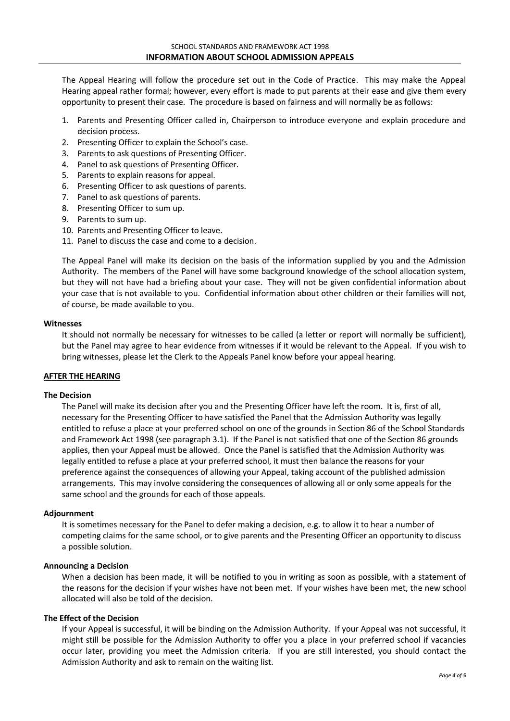The Appeal Hearing will follow the procedure set out in the Code of Practice. This may make the Appeal Hearing appeal rather formal; however, every effort is made to put parents at their ease and give them every opportunity to present their case. The procedure is based on fairness and will normally be as follows:

- 1. Parents and Presenting Officer called in, Chairperson to introduce everyone and explain procedure and decision process.
- 2. Presenting Officer to explain the School's case.
- 3. Parents to ask questions of Presenting Officer.
- 4. Panel to ask questions of Presenting Officer.
- 5. Parents to explain reasons for appeal.
- 6. Presenting Officer to ask questions of parents.
- 7. Panel to ask questions of parents.
- 8. Presenting Officer to sum up.
- 9. Parents to sum up.
- 10. Parents and Presenting Officer to leave.
- 11. Panel to discuss the case and come to a decision.

The Appeal Panel will make its decision on the basis of the information supplied by you and the Admission Authority. The members of the Panel will have some background knowledge of the school allocation system, but they will not have had a briefing about your case. They will not be given confidential information about your case that is not available to you. Confidential information about other children or their families will not, of course, be made available to you.

### **Witnesses**

It should not normally be necessary for witnesses to be called (a letter or report will normally be sufficient), but the Panel may agree to hear evidence from witnesses if it would be relevant to the Appeal. If you wish to bring witnesses, please let the Clerk to the Appeals Panel know before your appeal hearing.

# **AFTER THE HEARING**

# **The Decision**

The Panel will make its decision after you and the Presenting Officer have left the room. It is, first of all, necessary for the Presenting Officer to have satisfied the Panel that the Admission Authority was legally entitled to refuse a place at your preferred school on one of the grounds in Section 86 of the School Standards and Framework Act 1998 (see paragraph 3.1). If the Panel is not satisfied that one of the Section 86 grounds applies, then your Appeal must be allowed. Once the Panel is satisfied that the Admission Authority was legally entitled to refuse a place at your preferred school, it must then balance the reasons for your preference against the consequences of allowing your Appeal, taking account of the published admission arrangements. This may involve considering the consequences of allowing all or only some appeals for the same school and the grounds for each of those appeals.

# **Adjournment**

It is sometimes necessary for the Panel to defer making a decision, e.g. to allow it to hear a number of competing claims for the same school, or to give parents and the Presenting Officer an opportunity to discuss a possible solution.

# **Announcing a Decision**

When a decision has been made, it will be notified to you in writing as soon as possible, with a statement of the reasons for the decision if your wishes have not been met. If your wishes have been met, the new school allocated will also be told of the decision.

# **The Effect of the Decision**

If your Appeal is successful, it will be binding on the Admission Authority. If your Appeal was not successful, it might still be possible for the Admission Authority to offer you a place in your preferred school if vacancies occur later, providing you meet the Admission criteria. If you are still interested, you should contact the Admission Authority and ask to remain on the waiting list.